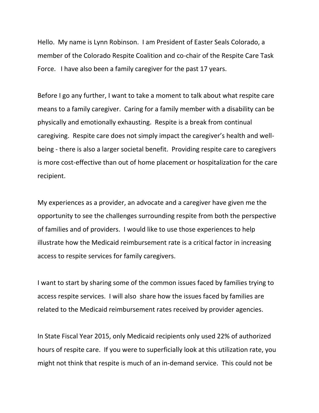Hello. My name is Lynn Robinson. I am President of Easter Seals Colorado, a member of the Colorado Respite Coalition and co-chair of the Respite Care Task Force. I have also been a family caregiver for the past 17 years.

Before I go any further, I want to take a moment to talk about what respite care means to a family caregiver. Caring for a family member with a disability can be physically and emotionally exhausting. Respite is a break from continual caregiving. Respite care does not simply impact the caregiver's health and wellbeing - there is also a larger societal benefit. Providing respite care to caregivers is more cost-effective than out of home placement or hospitalization for the care recipient.

My experiences as a provider, an advocate and a caregiver have given me the opportunity to see the challenges surrounding respite from both the perspective of families and of providers. I would like to use those experiences to help illustrate how the Medicaid reimbursement rate is a critical factor in increasing access to respite services for family caregivers.

I want to start by sharing some of the common issues faced by families trying to access respite services. I will also share how the issues faced by families are related to the Medicaid reimbursement rates received by provider agencies.

In State Fiscal Year 2015, only Medicaid recipients only used 22% of authorized hours of respite care. If you were to superficially look at this utilization rate, you might not think that respite is much of an in-demand service. This could not be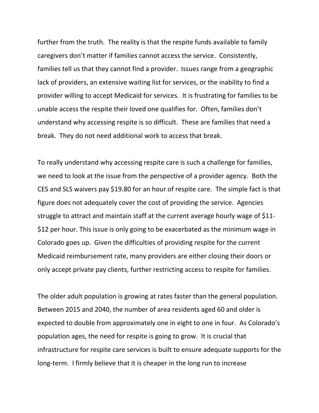further from the truth. The reality is that the respite funds available to family caregivers don't matter if families cannot access the service. Consistently, families tell us that they cannot find a provider. Issues range from a geographic lack of providers, an extensive waiting list for services, or the inability to find a provider willing to accept Medicaid for services. It is frustrating for families to be unable access the respite their loved one qualifies for. Often, families don't understand why accessing respite is so difficult. These are families that need a break. They do not need additional work to access that break.

To really understand why accessing respite care is such a challenge for families, we need to look at the issue from the perspective of a provider agency. Both the CES and SLS waivers pay \$19.80 for an hour of respite care. The simple fact is that figure does not adequately cover the cost of providing the service. Agencies struggle to attract and maintain staff at the current average hourly wage of \$11- \$12 per hour. This issue is only going to be exacerbated as the minimum wage in Colorado goes up. Given the difficulties of providing respite for the current Medicaid reimbursement rate, many providers are either closing their doors or only accept private pay clients, further restricting access to respite for families.

The older adult population is growing at rates faster than the general population. Between 2015 and 2040, the number of area residents aged 60 and older is expected to double from approximately one in eight to one in four. As Colorado's population ages, the need for respite is going to grow. It is crucial that infrastructure for respite care services is built to ensure adequate supports for the long-term. I firmly believe that it is cheaper in the long run to increase